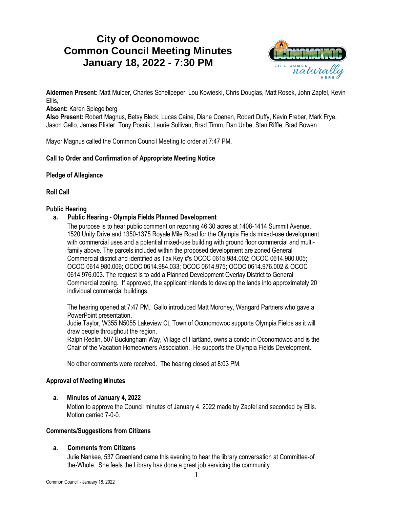# **City of Oconomowoc Common Council Meeting Minutes January 18, 2022 - 7:30 PM**



**Aldermen Present:** Matt Mulder, Charles Schellpeper, Lou Kowieski, Chris Douglas, Matt Rosek, John Zapfel, Kevin Ellis,

**Absent:** Karen Spiegelberg

**Also Present:** Robert Magnus, Betsy Bleck, Lucas Caine, Diane Coenen, Robert Duffy, Kevin Freber, Mark Frye, Jason Gallo, James Pfister, Tony Posnik, Laurie Sullivan, Brad Timm, Dan Uribe, Stan Riffle, Brad Bowen

Mayor Magnus called the Common Council Meeting to order at 7:47 PM.

## **Call to Order and Confirmation of Appropriate Meeting Notice**

## **Pledge of Allegiance**

**Roll Call**

## **Public Hearing**

## **a. Public Hearing - Olympia Fields Planned Development**

The purpose is to hear public comment on rezoning 46.30 acres at 1408-1414 Summit Avenue, 1520 Unity Drive and 1350-1375 Royale Mile Road for the Olympia Fields mixed-use development with commercial uses and a potential mixed-use building with ground floor commercial and multifamily above. The parcels included within the proposed development are zoned General Commercial district and identified as Tax Key #'s OCOC 0615.984.002; OCOC 0614.980.005; OCOC 0614.980.006; OCOC 0614.984.033; OCOC 0614.975; OCOC 0614.976.002 & OCOC 0614.976.003. The request is to add a Planned Development Overlay District to General Commercial zoning. If approved, the applicant intends to develop the lands into approximately 20 individual commercial buildings.

The hearing opened at 7:47 PM. Gallo introduced Matt Moroney, Wangard Partners who gave a PowerPoint presentation.

Judie Taylor, W355 N5055 Lakeview Ct, Town of Oconomowoc supports Olympia Fields as it will draw people throughout the region.

Ralph Redlin, 507 Buckingham Way, Village of Hartland, owns a condo in Oconomowoc and is the Chair of the Vacation Homeowners Association. He supports the Olympia Fields Development.

No other comments were received. The hearing closed at 8:03 PM.

## **Approval of Meeting Minutes**

## **a. Minutes of January 4, 2022**

Motion to approve the Council minutes of January 4, 2022 made by Zapfel and seconded by Ellis. Motion carried 7-0-0.

## **Comments/Suggestions from Citizens**

## **a. Comments from Citizens**

Julie Nankee, 537 Greenland came this evening to hear the library conversation at Committee-of the-Whole. She feels the Library has done a great job servicing the community.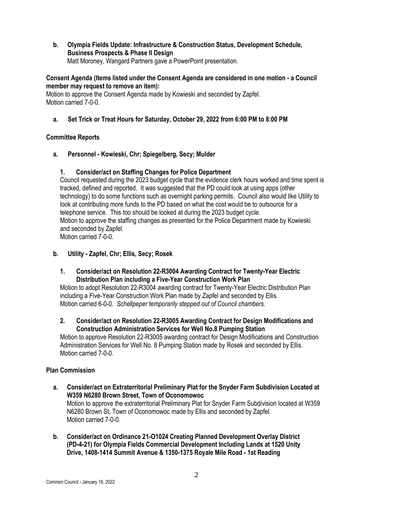**b. Olympia Fields Update: Infrastructure & Construction Status, Development Schedule, Business Prospects & Phase II Design** Matt Moroney, Wangard Partners gave a PowerPoint presentation.

## **Consent Agenda (Items listed under the Consent Agenda are considered in one motion - a Council member may request to remove an item):**

Motion to approve the Consent Agenda made by Kowieski and seconded by Zapfel. Motion carried 7-0-0.

**a. Set Trick or Treat Hours for Saturday, October 29, 2022 from 6:00 PM to 8:00 PM**

# **Committee Reports**

**a. Personnel - Kowieski, Chr; Spiegelberg, Secy; Mulder**

# **1. Consider/act on Staffing Changes for Police Department**

Council requested during the 2023 budget cycle that the evidence clerk hours worked and time spent is tracked, defined and reported. It was suggested that the PD could look at using apps (other technology) to do some functions such as overnight parking permits. Council also would like Utility to look at contributing more funds to the PD based on what the cost would be to outsource for a telephone service. This too should be looked at during the 2023 budget cycle. Motion to approve the staffing changes as presented for the Police Department made by Kowieski and seconded by Zapfel. Motion carried 7-0-0.

## **b. Utility - Zapfel, Chr; Ellis, Secy; Rosek**

## **1. Consider/act on Resolution 22-R3004 Awarding Contract for Twenty-Year Electric Distribution Plan including a Five-Year Construction Work Plan**

Motion to adopt Resolution 22-R3004 awarding contract for Twenty-Year Electric Distribution Plan including a Five-Year Construction Work Plan made by Zapfel and seconded by Ellis. Motion carried 6-0-0. *Schellpeper temporarily stepped out of Council chambers.*

## **2. Consider/act on Resolution 22-R3005 Awarding Contract for Design Modifications and Construction Administration Services for Well No.8 Pumping Station**

Motion to approve Resolution 22-R3005 awarding contract for Design Modifications and Construction Administration Services for Well No. 8 Pumping Station made by Rosek and seconded by Ellis. Motion carried 7-0-0.

# **Plan Commission**

- **a. Consider/act on Extraterritorial Preliminary Plat for the Snyder Farm Subdivision Located at W359 N6280 Brown Street, Town of Oconomowoc** Motion to approve the extraterritorial Preliminary Plat for Snyder Farm Subdivision located at W359 N6280 Brown St, Town of Oconomowoc made by Ellis and seconded by Zapfel. Motion carried 7-0-0.
- **b. Consider/act on Ordinance 21-O1024 Creating Planned Development Overlay District (PD-4-21) for Olympia Fields Commercial Development Including Lands at 1520 Unity Drive, 1408-1414 Summit Avenue & 1350-1375 Royale Mile Road - 1st Reading**